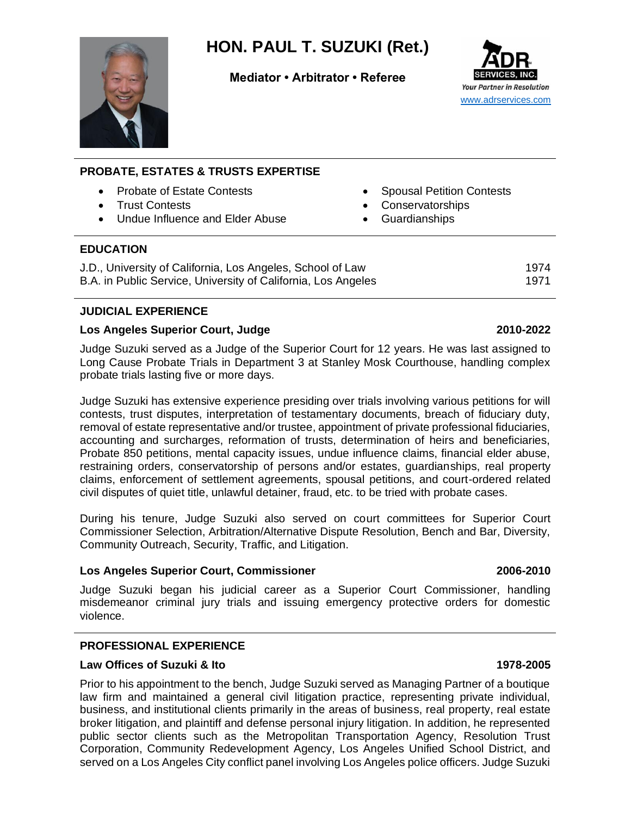

# **HON. PAUL T. SUZUKI (Ret.)**

**Mediator • Arbitrator • Referee**



| <b>PROBATE, ESTATES &amp; TRUSTS EXPERTISE</b>                                                                                       |           |                                                                       |  |
|--------------------------------------------------------------------------------------------------------------------------------------|-----------|-----------------------------------------------------------------------|--|
| <b>Probate of Estate Contests</b><br>$\bullet$<br><b>Trust Contests</b><br>$\bullet$<br>Undue Influence and Elder Abuse<br>$\bullet$ | $\bullet$ | <b>Spousal Petition Contests</b><br>Conservatorships<br>Guardianships |  |
| <b>EDUCATION</b>                                                                                                                     |           |                                                                       |  |
| J.D., University of California, Los Angeles, School of Law<br>B.A. in Public Service, University of California, Los Angeles          |           | 1974<br>1971                                                          |  |

# **JUDICIAL EXPERIENCE**

# **Los Angeles Superior Court, Judge 2010-2022**

Judge Suzuki served as a Judge of the Superior Court for 12 years. He was last assigned to Long Cause Probate Trials in Department 3 at Stanley Mosk Courthouse, handling complex probate trials lasting five or more days.

Judge Suzuki has extensive experience presiding over trials involving various petitions for will contests, trust disputes, interpretation of testamentary documents, breach of fiduciary duty, removal of estate representative and/or trustee, appointment of private professional fiduciaries, accounting and surcharges, reformation of trusts, determination of heirs and beneficiaries, Probate 850 petitions, mental capacity issues, undue influence claims, financial elder abuse, restraining orders, conservatorship of persons and/or estates, guardianships, real property claims, enforcement of settlement agreements, spousal petitions, and court-ordered related civil disputes of quiet title, unlawful detainer, fraud, etc. to be tried with probate cases.

During his tenure, Judge Suzuki also served on court committees for Superior Court Commissioner Selection, Arbitration/Alternative Dispute Resolution, Bench and Bar, Diversity, Community Outreach, Security, Traffic, and Litigation.

### **Los Angeles Superior Court, Commissioner 2006-2010**

Judge Suzuki began his judicial career as a Superior Court Commissioner, handling misdemeanor criminal jury trials and issuing emergency protective orders for domestic violence.

# **PROFESSIONAL EXPERIENCE**

# **Law Offices of Suzuki & Ito 1978-2005**

Prior to his appointment to the bench, Judge Suzuki served as Managing Partner of a boutique law firm and maintained a general civil litigation practice, representing private individual, business, and institutional clients primarily in the areas of business, real property, real estate broker litigation, and plaintiff and defense personal injury litigation. In addition, he represented public sector clients such as the Metropolitan Transportation Agency, Resolution Trust Corporation, Community Redevelopment Agency, Los Angeles Unified School District, and served on a Los Angeles City conflict panel involving Los Angeles police officers. Judge Suzuki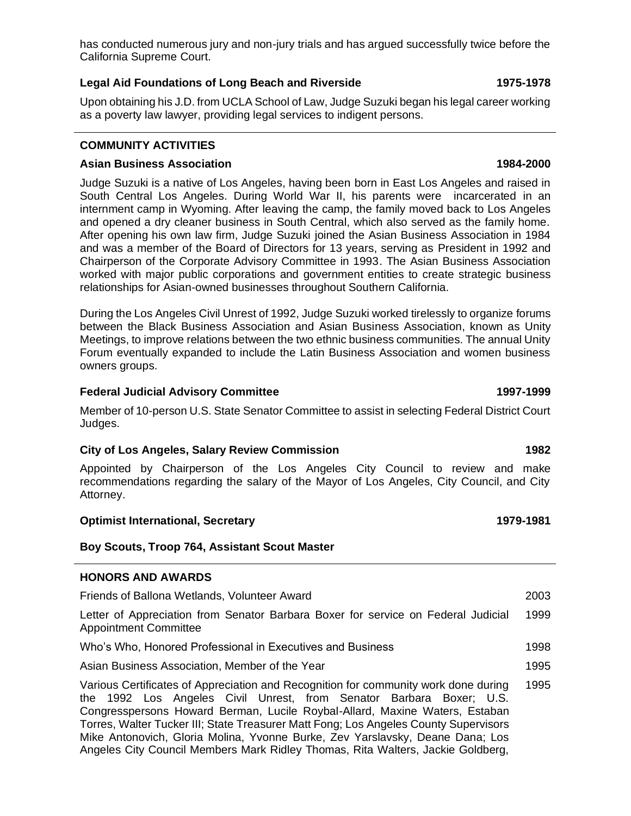has conducted numerous jury and non-jury trials and has argued successfully twice before the California Supreme Court.

# **Legal Aid Foundations of Long Beach and Riverside 1975-1978**

Upon obtaining his J.D. from UCLA School of Law, Judge Suzuki began his legal career working as a poverty law lawyer, providing legal services to indigent persons.

# **COMMUNITY ACTIVITIES**

## **Asian Business Association 1984-2000**

Judge Suzuki is a native of Los Angeles, having been born in East Los Angeles and raised in South Central Los Angeles. During World War II, his parents were incarcerated in an internment camp in Wyoming. After leaving the camp, the family moved back to Los Angeles and opened a dry cleaner business in South Central, which also served as the family home. After opening his own law firm, Judge Suzuki joined the Asian Business Association in 1984 and was a member of the Board of Directors for 13 years, serving as President in 1992 and Chairperson of the Corporate Advisory Committee in 1993. The Asian Business Association worked with major public corporations and government entities to create strategic business relationships for Asian-owned businesses throughout Southern California.

During the Los Angeles Civil Unrest of 1992, Judge Suzuki worked tirelessly to organize forums between the Black Business Association and Asian Business Association, known as Unity Meetings, to improve relations between the two ethnic business communities. The annual Unity Forum eventually expanded to include the Latin Business Association and women business owners groups.

# **Federal Judicial Advisory Committee 1997-1999**

Member of 10-person U.S. State Senator Committee to assist in selecting Federal District Court Judges.

# **City of Los Angeles, Salary Review Commission 1982**

Appointed by Chairperson of the Los Angeles City Council to review and make recommendations regarding the salary of the Mayor of Los Angeles, City Council, and City Attorney.

## **Optimist International, Secretary 1979-1981**

### **Boy Scouts, Troop 764, Assistant Scout Master**

### **HONORS AND AWARDS**

Appointment Committee

| Friends of Ballona Wetlands, Volunteer Award                                      | 2003 |
|-----------------------------------------------------------------------------------|------|
| Letter of Appreciation from Senator Barbara Boxer for service on Federal Judicial | 1999 |

Who's Who, Honored Professional in Executives and Business 1998

Asian Business Association, Member of the Year 1995

Various Certificates of Appreciation and Recognition for community work done during the 1992 Los Angeles Civil Unrest, from Senator Barbara Boxer; U.S. Congresspersons Howard Berman, Lucile Roybal-Allard, Maxine Waters, Estaban Torres, Walter Tucker III; State Treasurer Matt Fong; Los Angeles County Supervisors Mike Antonovich, Gloria Molina, Yvonne Burke, Zev Yarslavsky, Deane Dana; Los Angeles City Council Members Mark Ridley Thomas, Rita Walters, Jackie Goldberg, 1995